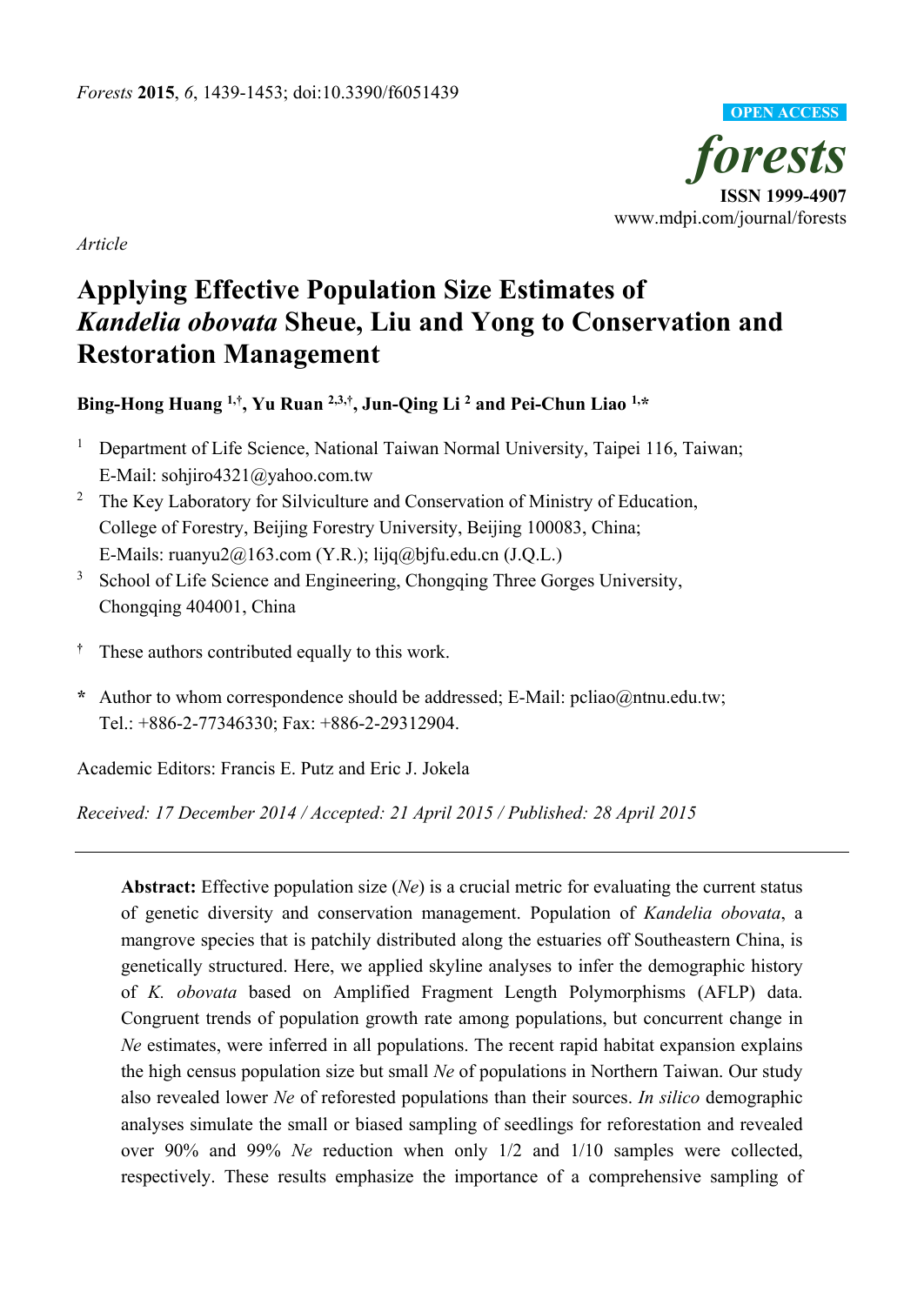

*Article*

# **Applying Effective Population Size Estimates of**  *Kandelia obovata* **Sheue, Liu and Yong to Conservation and Restoration Management**

**Bing-Hong Huang 1,†, Yu Ruan 2,3,† , Jun-Qing Li <sup>2</sup> and Pei-Chun Liao 1,\***

- <sup>1</sup> Department of Life Science, National Taiwan Normal University, Taipei 116, Taiwan; E-Mail: sohjiro4321@yahoo.com.tw
- <sup>2</sup> The Key Laboratory for Silviculture and Conservation of Ministry of Education, College of Forestry, Beijing Forestry University, Beijing 100083, China; E-Mails: ruanyu $2@163$ .com (Y.R.); lijq@bjfu.edu.cn (J.Q.L.)
- <sup>3</sup> School of Life Science and Engineering, Chongqing Three Gorges University, Chongqing 404001, China
- **†** These authors contributed equally to this work.
- **\*** Author to whom correspondence should be addressed; E-Mail: pcliao@ntnu.edu.tw; Tel.: +886-2-77346330; Fax: +886-2-29312904.

Academic Editors: Francis E. Putz and Eric J. Jokela

*Received: 17 December 2014 / Accepted: 21 April 2015 / Published: 28 April 2015* 

**Abstract:** Effective population size (*Ne*) is a crucial metric for evaluating the current status of genetic diversity and conservation management. Population of *Kandelia obovata*, a mangrove species that is patchily distributed along the estuaries off Southeastern China, is genetically structured. Here, we applied skyline analyses to infer the demographic history of *K. obovata* based on Amplified Fragment Length Polymorphisms (AFLP) data. Congruent trends of population growth rate among populations, but concurrent change in *Ne* estimates, were inferred in all populations. The recent rapid habitat expansion explains the high census population size but small *Ne* of populations in Northern Taiwan. Our study also revealed lower *Ne* of reforested populations than their sources. *In silico* demographic analyses simulate the small or biased sampling of seedlings for reforestation and revealed over 90% and 99% *Ne* reduction when only 1/2 and 1/10 samples were collected, respectively. These results emphasize the importance of a comprehensive sampling of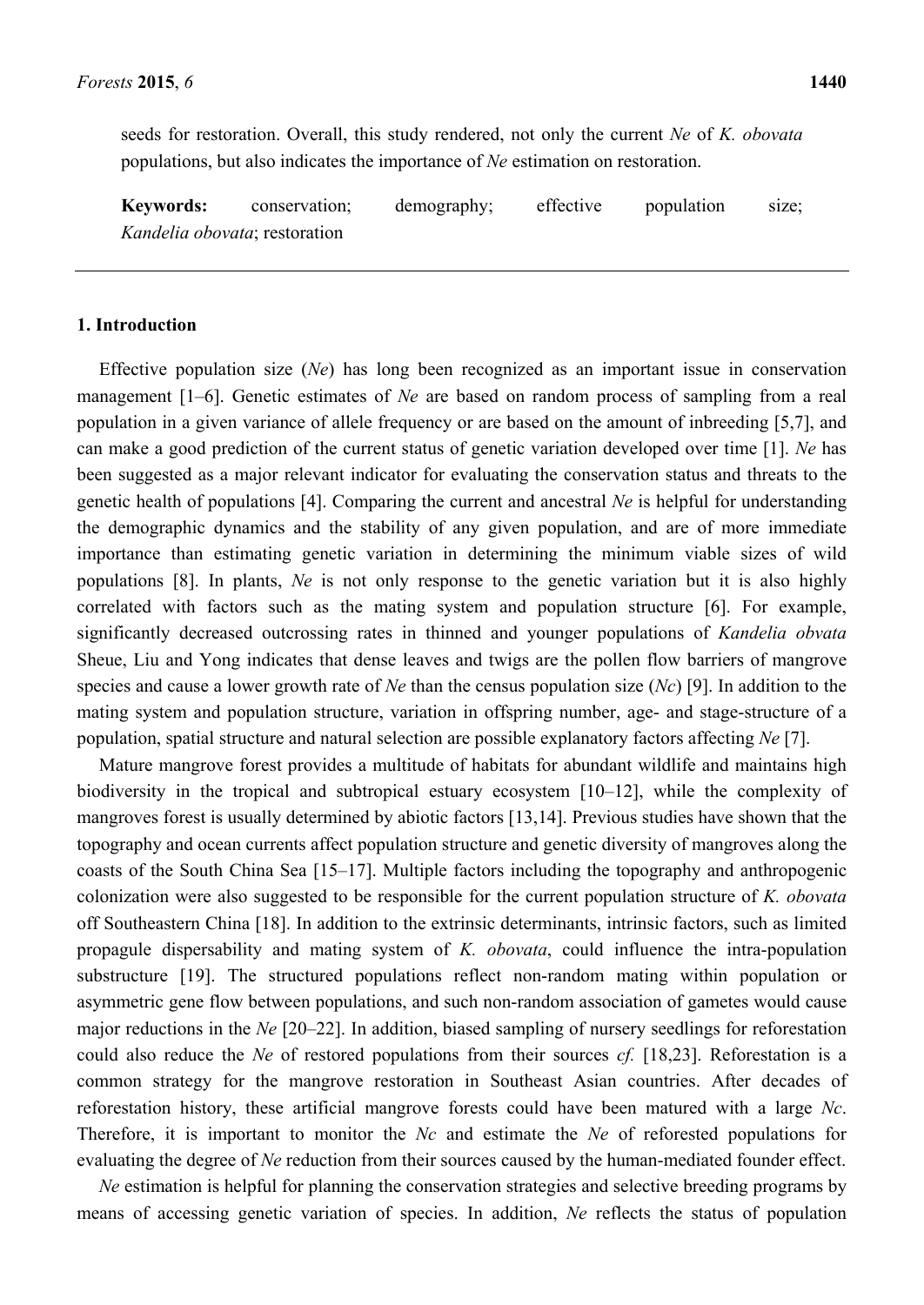seeds for restoration. Overall, this study rendered, not only the current *Ne* of *K. obovata* populations, but also indicates the importance of *Ne* estimation on restoration.

**Keywords:** conservation; demography; effective population size; *Kandelia obovata*; restoration

# **1. Introduction**

Effective population size (*Ne*) has long been recognized as an important issue in conservation management [1–6]. Genetic estimates of *Ne* are based on random process of sampling from a real population in a given variance of allele frequency or are based on the amount of inbreeding [5,7], and can make a good prediction of the current status of genetic variation developed over time [1]. *Ne* has been suggested as a major relevant indicator for evaluating the conservation status and threats to the genetic health of populations [4]. Comparing the current and ancestral *Ne* is helpful for understanding the demographic dynamics and the stability of any given population, and are of more immediate importance than estimating genetic variation in determining the minimum viable sizes of wild populations [8]. In plants, *Ne* is not only response to the genetic variation but it is also highly correlated with factors such as the mating system and population structure [6]. For example, significantly decreased outcrossing rates in thinned and younger populations of *Kandelia obvata* Sheue, Liu and Yong indicates that dense leaves and twigs are the pollen flow barriers of mangrove species and cause a lower growth rate of *Ne* than the census population size (*Nc*) [9]. In addition to the mating system and population structure, variation in offspring number, age- and stage-structure of a population, spatial structure and natural selection are possible explanatory factors affecting *Ne* [7].

Mature mangrove forest provides a multitude of habitats for abundant wildlife and maintains high biodiversity in the tropical and subtropical estuary ecosystem [10–12], while the complexity of mangroves forest is usually determined by abiotic factors [13,14]. Previous studies have shown that the topography and ocean currents affect population structure and genetic diversity of mangroves along the coasts of the South China Sea [15–17]. Multiple factors including the topography and anthropogenic colonization were also suggested to be responsible for the current population structure of *K. obovata* off Southeastern China [18]. In addition to the extrinsic determinants, intrinsic factors, such as limited propagule dispersability and mating system of *K. obovata*, could influence the intra-population substructure [19]. The structured populations reflect non-random mating within population or asymmetric gene flow between populations, and such non-random association of gametes would cause major reductions in the *Ne* [20–22]. In addition, biased sampling of nursery seedlings for reforestation could also reduce the *Ne* of restored populations from their sources *cf.* [18,23]. Reforestation is a common strategy for the mangrove restoration in Southeast Asian countries. After decades of reforestation history, these artificial mangrove forests could have been matured with a large *Nc*. Therefore, it is important to monitor the *Nc* and estimate the *Ne* of reforested populations for evaluating the degree of *Ne* reduction from their sources caused by the human-mediated founder effect.

*Ne* estimation is helpful for planning the conservation strategies and selective breeding programs by means of accessing genetic variation of species. In addition, *Ne* reflects the status of population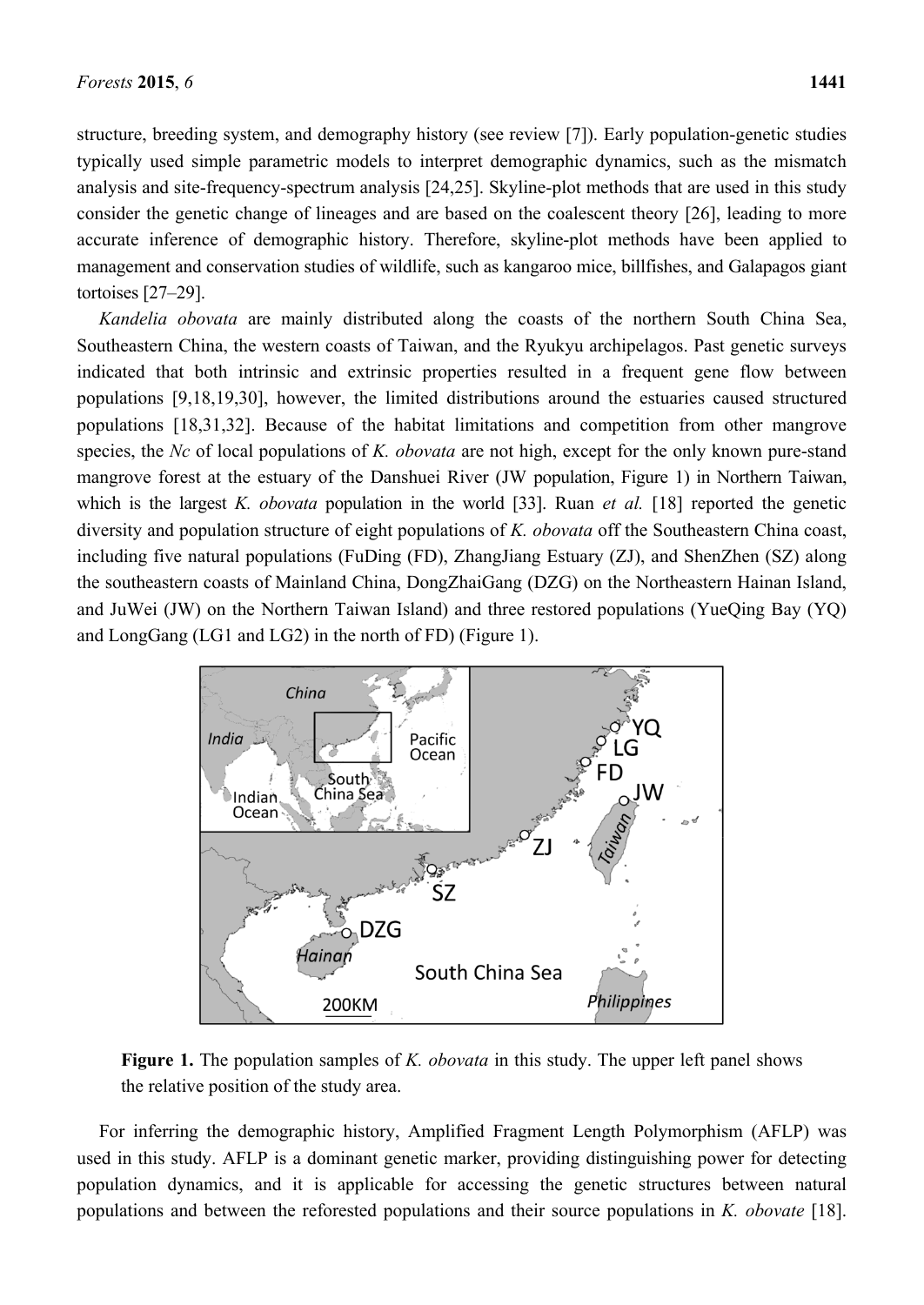structure, breeding system, and demography history (see review [7]). Early population-genetic studies typically used simple parametric models to interpret demographic dynamics, such as the mismatch analysis and site-frequency-spectrum analysis [24,25]. Skyline-plot methods that are used in this study consider the genetic change of lineages and are based on the coalescent theory [26], leading to more accurate inference of demographic history. Therefore, skyline-plot methods have been applied to management and conservation studies of wildlife, such as kangaroo mice, billfishes, and Galapagos giant tortoises [27–29].

*Kandelia obovata* are mainly distributed along the coasts of the northern South China Sea, Southeastern China, the western coasts of Taiwan, and the Ryukyu archipelagos. Past genetic surveys indicated that both intrinsic and extrinsic properties resulted in a frequent gene flow between populations [9,18,19,30], however, the limited distributions around the estuaries caused structured populations [18,31,32]. Because of the habitat limitations and competition from other mangrove species, the *Nc* of local populations of *K. obovata* are not high, except for the only known pure-stand mangrove forest at the estuary of the Danshuei River (JW population, Figure 1) in Northern Taiwan, which is the largest *K. obovata* population in the world [33]. Ruan *et al.* [18] reported the genetic diversity and population structure of eight populations of *K. obovata* off the Southeastern China coast, including five natural populations (FuDing (FD), ZhangJiang Estuary (ZJ), and ShenZhen (SZ) along the southeastern coasts of Mainland China, DongZhaiGang (DZG) on the Northeastern Hainan Island, and JuWei (JW) on the Northern Taiwan Island) and three restored populations (YueQing Bay (YQ) and LongGang (LG1 and LG2) in the north of FD) (Figure 1).



**Figure 1.** The population samples of *K. obovata* in this study. The upper left panel shows the relative position of the study area.

For inferring the demographic history, Amplified Fragment Length Polymorphism (AFLP) was used in this study. AFLP is a dominant genetic marker, providing distinguishing power for detecting population dynamics, and it is applicable for accessing the genetic structures between natural populations and between the reforested populations and their source populations in *K. obovate* [18].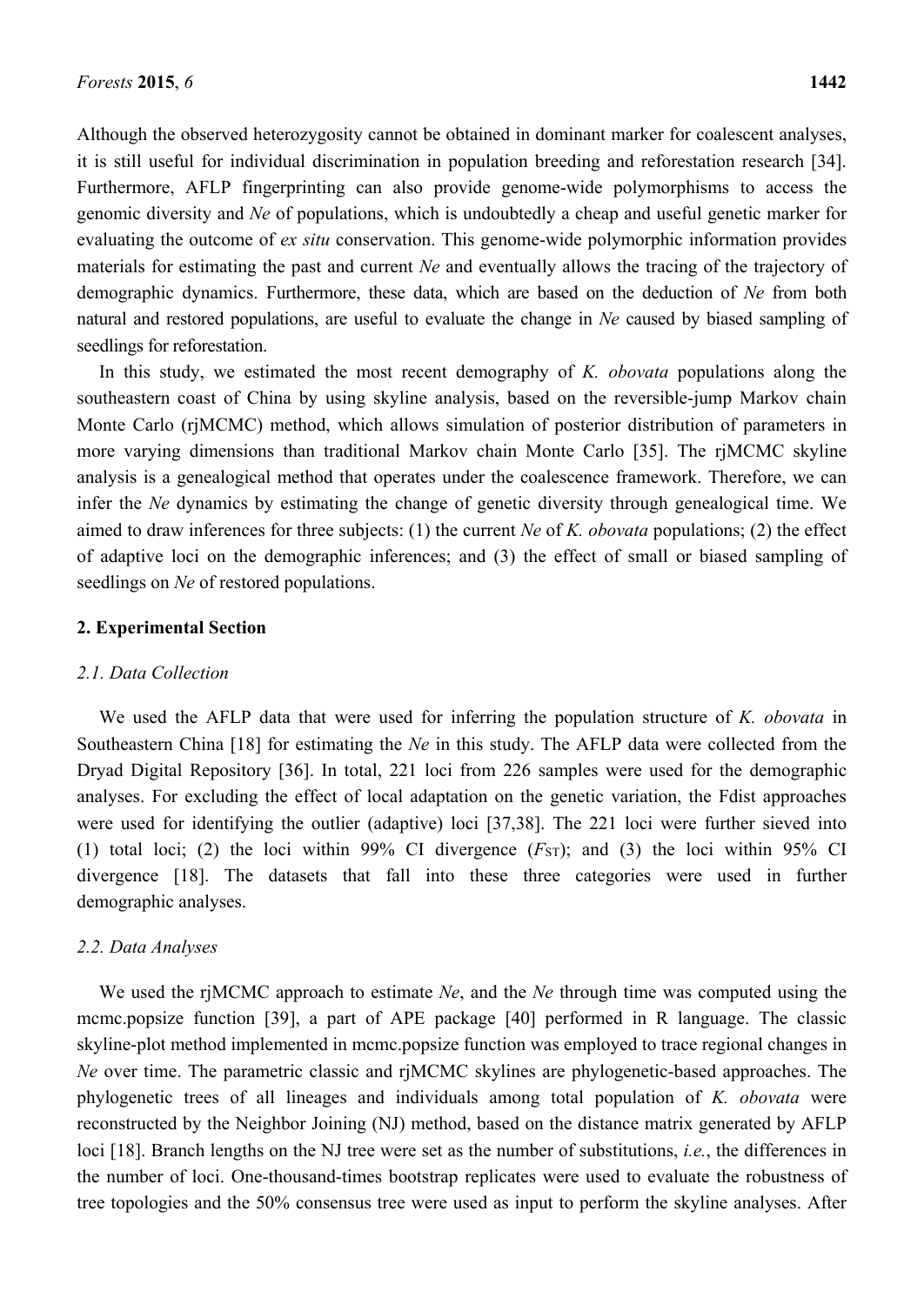Although the observed heterozygosity cannot be obtained in dominant marker for coalescent analyses, it is still useful for individual discrimination in population breeding and reforestation research [34]. Furthermore, AFLP fingerprinting can also provide genome-wide polymorphisms to access the genomic diversity and *Ne* of populations, which is undoubtedly a cheap and useful genetic marker for evaluating the outcome of *ex situ* conservation. This genome-wide polymorphic information provides materials for estimating the past and current *Ne* and eventually allows the tracing of the trajectory of demographic dynamics. Furthermore, these data, which are based on the deduction of *Ne* from both natural and restored populations, are useful to evaluate the change in *Ne* caused by biased sampling of seedlings for reforestation.

In this study, we estimated the most recent demography of *K. obovata* populations along the southeastern coast of China by using skyline analysis, based on the reversible-jump Markov chain Monte Carlo (rjMCMC) method, which allows simulation of posterior distribution of parameters in more varying dimensions than traditional Markov chain Monte Carlo [35]. The rjMCMC skyline analysis is a genealogical method that operates under the coalescence framework. Therefore, we can infer the *Ne* dynamics by estimating the change of genetic diversity through genealogical time. We aimed to draw inferences for three subjects: (1) the current *Ne* of *K. obovata* populations; (2) the effect of adaptive loci on the demographic inferences; and (3) the effect of small or biased sampling of seedlings on *Ne* of restored populations.

## **2. Experimental Section**

## *2.1. Data Collection*

We used the AFLP data that were used for inferring the population structure of *K. obovata* in Southeastern China [18] for estimating the *Ne* in this study. The AFLP data were collected from the Dryad Digital Repository [36]. In total, 221 loci from 226 samples were used for the demographic analyses. For excluding the effect of local adaptation on the genetic variation, the Fdist approaches were used for identifying the outlier (adaptive) loci [37,38]. The 221 loci were further sieved into (1) total loci; (2) the loci within 99% CI divergence  $(FST)$ ; and (3) the loci within 95% CI divergence [18]. The datasets that fall into these three categories were used in further demographic analyses.

## *2.2. Data Analyses*

We used the rjMCMC approach to estimate *Ne*, and the *Ne* through time was computed using the mcmc.popsize function [39], a part of APE package [40] performed in R language. The classic skyline-plot method implemented in mcmc.popsize function was employed to trace regional changes in *Ne* over time. The parametric classic and rjMCMC skylines are phylogenetic-based approaches. The phylogenetic trees of all lineages and individuals among total population of *K. obovata* were reconstructed by the Neighbor Joining (NJ) method, based on the distance matrix generated by AFLP loci [18]. Branch lengths on the NJ tree were set as the number of substitutions, *i.e.*, the differences in the number of loci. One-thousand-times bootstrap replicates were used to evaluate the robustness of tree topologies and the 50% consensus tree were used as input to perform the skyline analyses. After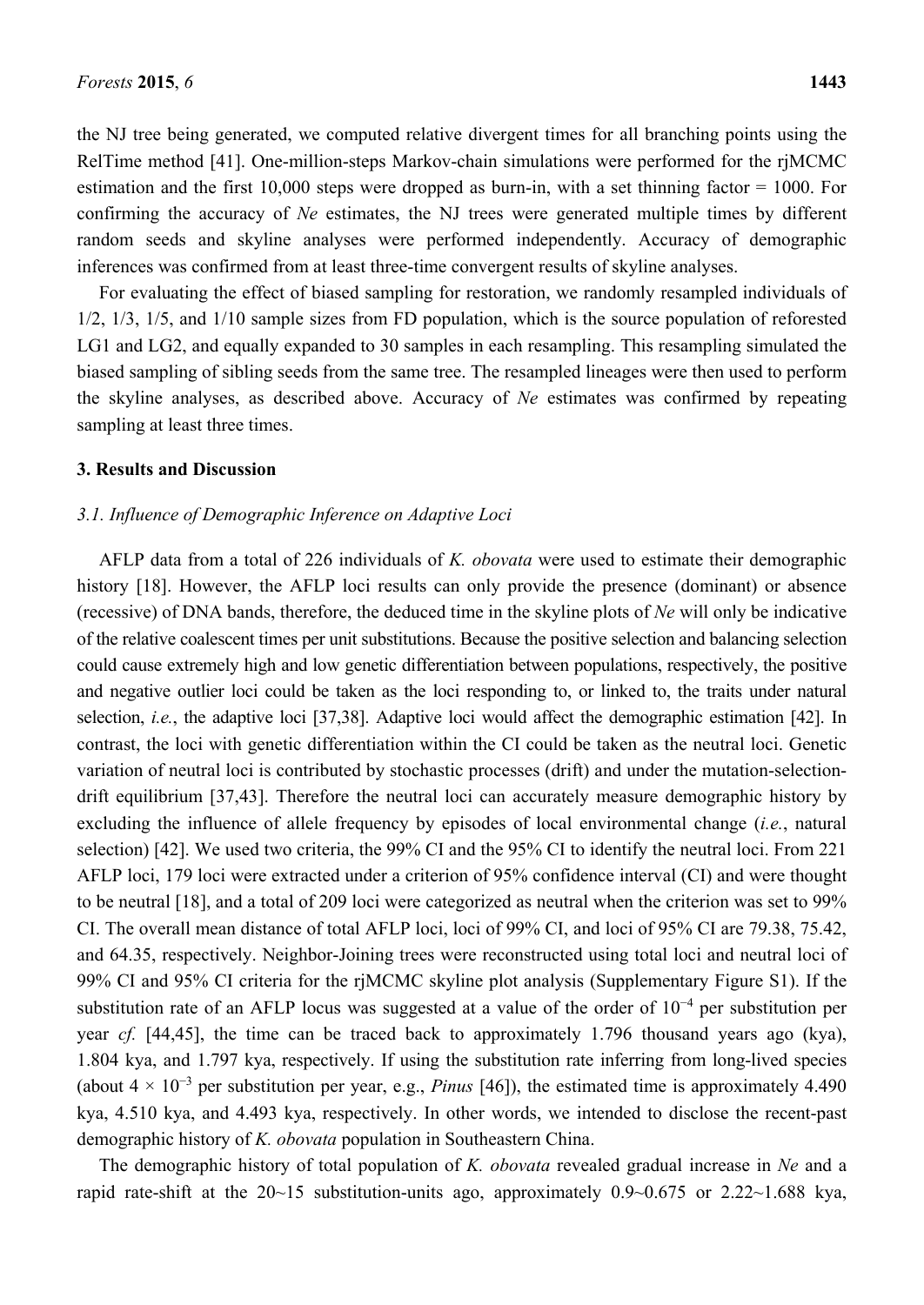the NJ tree being generated, we computed relative divergent times for all branching points using the RelTime method [41]. One-million-steps Markov-chain simulations were performed for the rjMCMC estimation and the first 10,000 steps were dropped as burn-in, with a set thinning factor = 1000. For confirming the accuracy of *Ne* estimates, the NJ trees were generated multiple times by different random seeds and skyline analyses were performed independently. Accuracy of demographic inferences was confirmed from at least three-time convergent results of skyline analyses.

For evaluating the effect of biased sampling for restoration, we randomly resampled individuals of 1/2, 1/3, 1/5, and 1/10 sample sizes from FD population, which is the source population of reforested LG1 and LG2, and equally expanded to 30 samples in each resampling. This resampling simulated the biased sampling of sibling seeds from the same tree. The resampled lineages were then used to perform the skyline analyses, as described above. Accuracy of *Ne* estimates was confirmed by repeating sampling at least three times.

## **3. Results and Discussion**

#### *3.1. Influence of Demographic Inference on Adaptive Loci*

AFLP data from a total of 226 individuals of *K. obovata* were used to estimate their demographic history [18]. However, the AFLP loci results can only provide the presence (dominant) or absence (recessive) of DNA bands, therefore, the deduced time in the skyline plots of *Ne* will only be indicative of the relative coalescent times per unit substitutions. Because the positive selection and balancing selection could cause extremely high and low genetic differentiation between populations, respectively, the positive and negative outlier loci could be taken as the loci responding to, or linked to, the traits under natural selection, *i.e.*, the adaptive loci [37,38]. Adaptive loci would affect the demographic estimation [42]. In contrast, the loci with genetic differentiation within the CI could be taken as the neutral loci. Genetic variation of neutral loci is contributed by stochastic processes (drift) and under the mutation-selectiondrift equilibrium [37,43]. Therefore the neutral loci can accurately measure demographic history by excluding the influence of allele frequency by episodes of local environmental change (*i.e.*, natural selection) [42]. We used two criteria, the 99% CI and the 95% CI to identify the neutral loci. From 221 AFLP loci, 179 loci were extracted under a criterion of 95% confidence interval (CI) and were thought to be neutral [18], and a total of 209 loci were categorized as neutral when the criterion was set to 99% CI. The overall mean distance of total AFLP loci, loci of 99% CI, and loci of 95% CI are 79.38, 75.42, and 64.35, respectively. Neighbor-Joining trees were reconstructed using total loci and neutral loci of 99% CI and 95% CI criteria for the rjMCMC skyline plot analysis (Supplementary Figure S1). If the substitution rate of an AFLP locus was suggested at a value of the order of 10<sup>−</sup><sup>4</sup> per substitution per year *cf.* [44,45], the time can be traced back to approximately 1.796 thousand years ago (kya), 1.804 kya, and 1.797 kya, respectively. If using the substitution rate inferring from long-lived species (about 4 × 10<sup>−</sup><sup>3</sup> per substitution per year, e.g., *Pinus* [46]), the estimated time is approximately 4.490 kya, 4.510 kya, and 4.493 kya, respectively. In other words, we intended to disclose the recent-past demographic history of *K. obovata* population in Southeastern China.

The demographic history of total population of *K. obovata* revealed gradual increase in *Ne* and a rapid rate-shift at the 20~15 substitution-units ago, approximately 0.9~0.675 or 2.22~1.688 kya,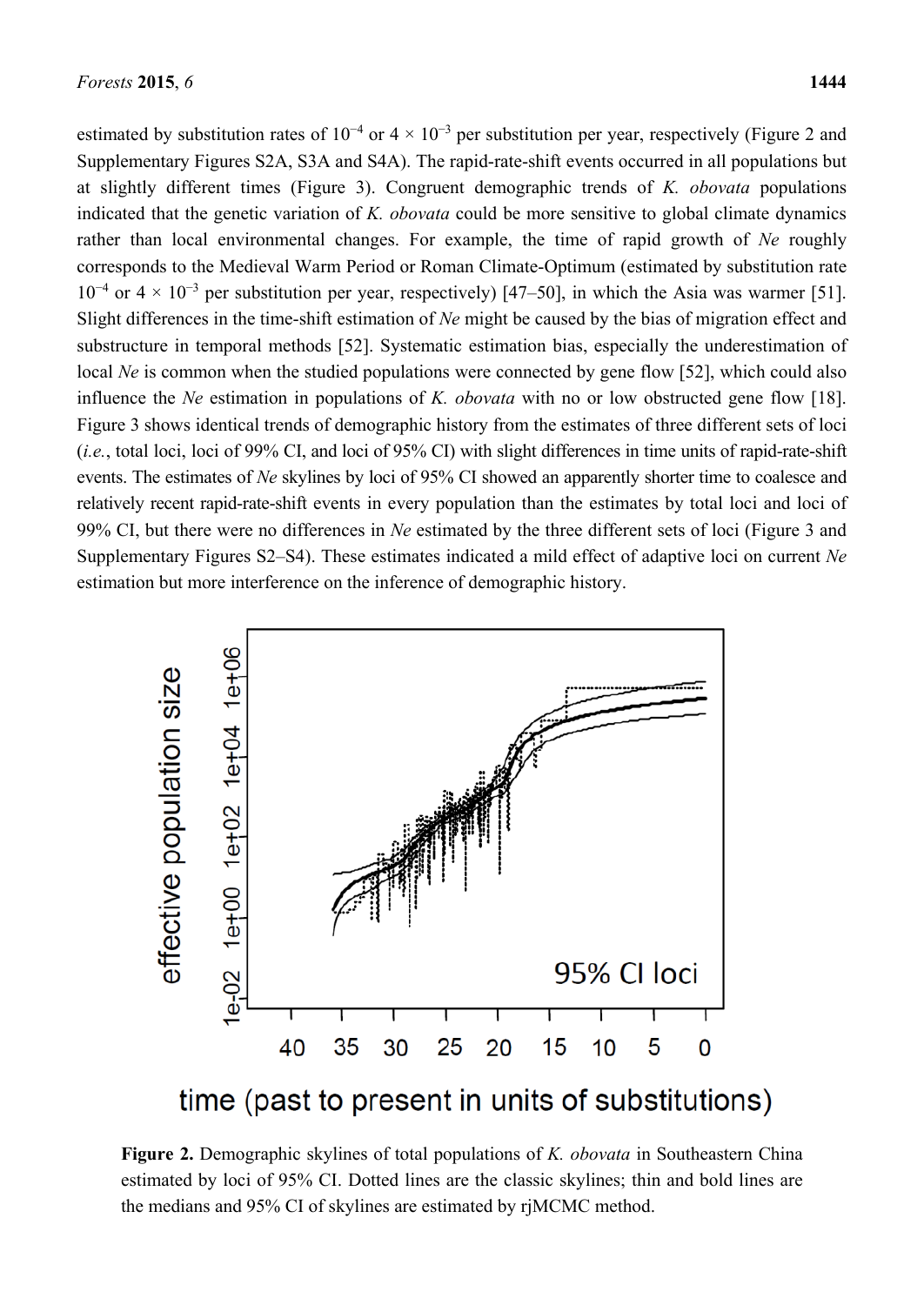estimated by substitution rates of  $10^{-4}$  or  $4 \times 10^{-3}$  per substitution per year, respectively (Figure 2 and Supplementary Figures S2A, S3A and S4A). The rapid-rate-shift events occurred in all populations but at slightly different times (Figure 3). Congruent demographic trends of *K. obovata* populations indicated that the genetic variation of *K. obovata* could be more sensitive to global climate dynamics rather than local environmental changes. For example, the time of rapid growth of *Ne* roughly corresponds to the Medieval Warm Period or Roman Climate-Optimum (estimated by substitution rate  $10^{-4}$  or  $4 \times 10^{-3}$  per substitution per year, respectively) [47–50], in which the Asia was warmer [51]. Slight differences in the time-shift estimation of *Ne* might be caused by the bias of migration effect and substructure in temporal methods [52]. Systematic estimation bias, especially the underestimation of local *Ne* is common when the studied populations were connected by gene flow [52], which could also influence the *Ne* estimation in populations of *K. obovata* with no or low obstructed gene flow [18]. Figure 3 shows identical trends of demographic history from the estimates of three different sets of loci (*i.e.*, total loci, loci of 99% CI, and loci of 95% CI) with slight differences in time units of rapid-rate-shift events. The estimates of *Ne* skylines by loci of 95% CI showed an apparently shorter time to coalesce and relatively recent rapid-rate-shift events in every population than the estimates by total loci and loci of 99% CI, but there were no differences in *Ne* estimated by the three different sets of loci (Figure 3 and Supplementary Figures S2–S4). These estimates indicated a mild effect of adaptive loci on current *Ne* estimation but more interference on the inference of demographic history.



time (past to present in units of substitutions)

**Figure 2.** Demographic skylines of total populations of *K. obovata* in Southeastern China estimated by loci of 95% CI. Dotted lines are the classic skylines; thin and bold lines are the medians and 95% CI of skylines are estimated by rjMCMC method.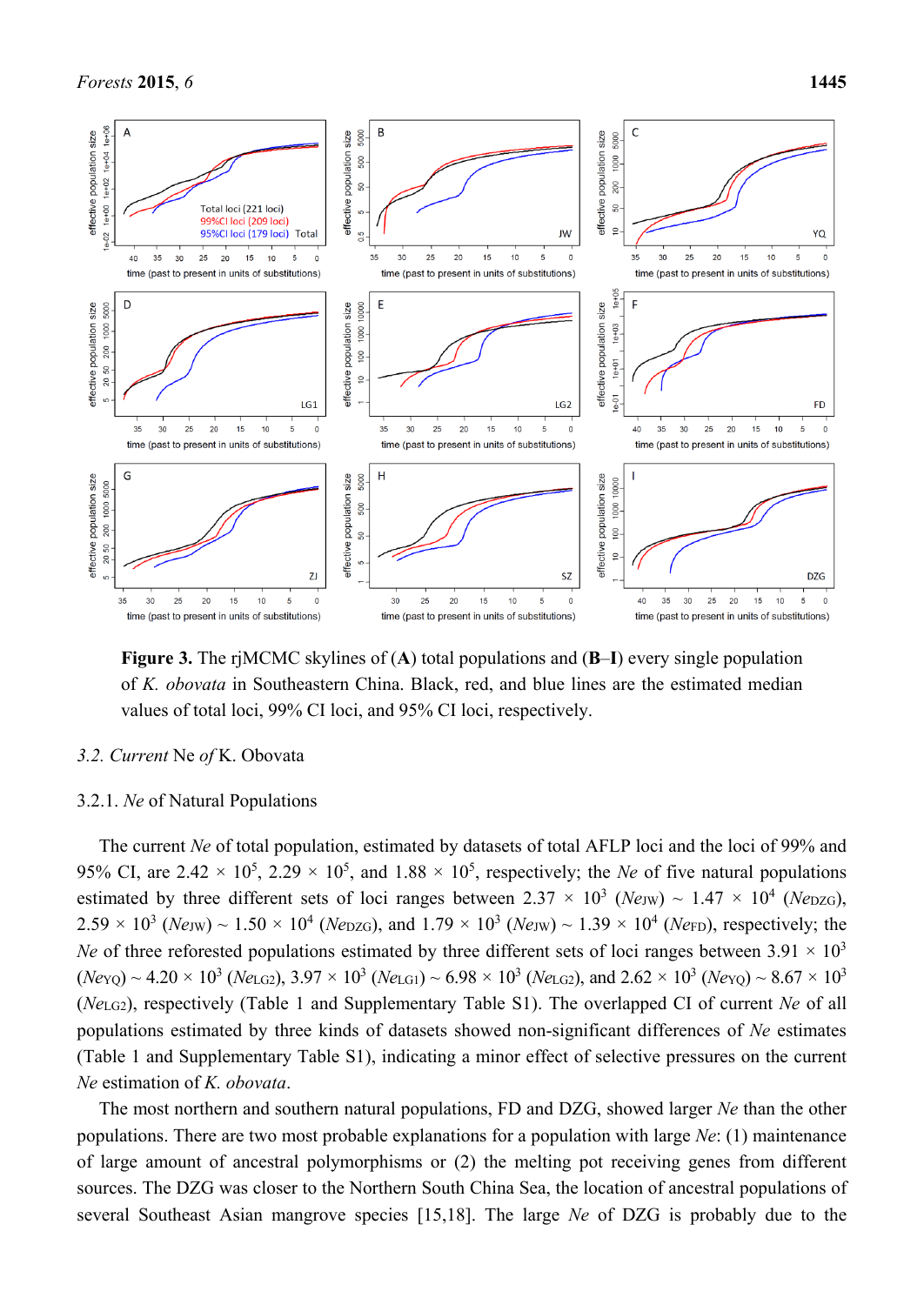

**Figure 3.** The rjMCMC skylines of (**A**) total populations and (**B**–**I**) every single population of *K. obovata* in Southeastern China. Black, red, and blue lines are the estimated median values of total loci, 99% CI loci, and 95% CI loci, respectively.

# *3.2. Current* Ne *of* K. Obovata

#### 3.2.1. *Ne* of Natural Populations

The current *Ne* of total population, estimated by datasets of total AFLP loci and the loci of 99% and 95% CI, are  $2.42 \times 10^5$ ,  $2.29 \times 10^5$ , and  $1.88 \times 10^5$ , respectively; the *Ne* of five natural populations estimated by three different sets of loci ranges between  $2.37 \times 10^3$  (*Ne*JW) ~  $1.47 \times 10^4$  (*Ne*DZG),  $2.59 \times 10^3$  (*Ne<sub>JW</sub>*) ~ 1.50 × 10<sup>4</sup> (*Ne*<sub>DZG</sub>), and 1.79 × 10<sup>3</sup> (*Ne<sub>JW</sub>*) ~ 1.39 × 10<sup>4</sup> (*Ne<sub>FD</sub>*), respectively; the *Ne* of three reforested populations estimated by three different sets of loci ranges between  $3.91 \times 10^3$  $(N_{\text{eYO}}) \sim 4.20 \times 10^3$  (*Ne*<sub>LG2</sub>),  $3.97 \times 10^3$  (*Ne*<sub>LG1</sub>) ~  $6.98 \times 10^3$  (*Ne*<sub>LG2</sub>), and  $2.62 \times 10^3$  (*Ne*<sub>YO</sub>) ~  $8.67 \times 10^3$ (*Ne*LG2), respectively (Table 1 and Supplementary Table S1). The overlapped CI of current *Ne* of all populations estimated by three kinds of datasets showed non-significant differences of *Ne* estimates (Table 1 and Supplementary Table S1), indicating a minor effect of selective pressures on the current *Ne* estimation of *K. obovata*.

The most northern and southern natural populations, FD and DZG, showed larger *Ne* than the other populations. There are two most probable explanations for a population with large *Ne*: (1) maintenance of large amount of ancestral polymorphisms or (2) the melting pot receiving genes from different sources. The DZG was closer to the Northern South China Sea, the location of ancestral populations of several Southeast Asian mangrove species [15,18]. The large *Ne* of DZG is probably due to the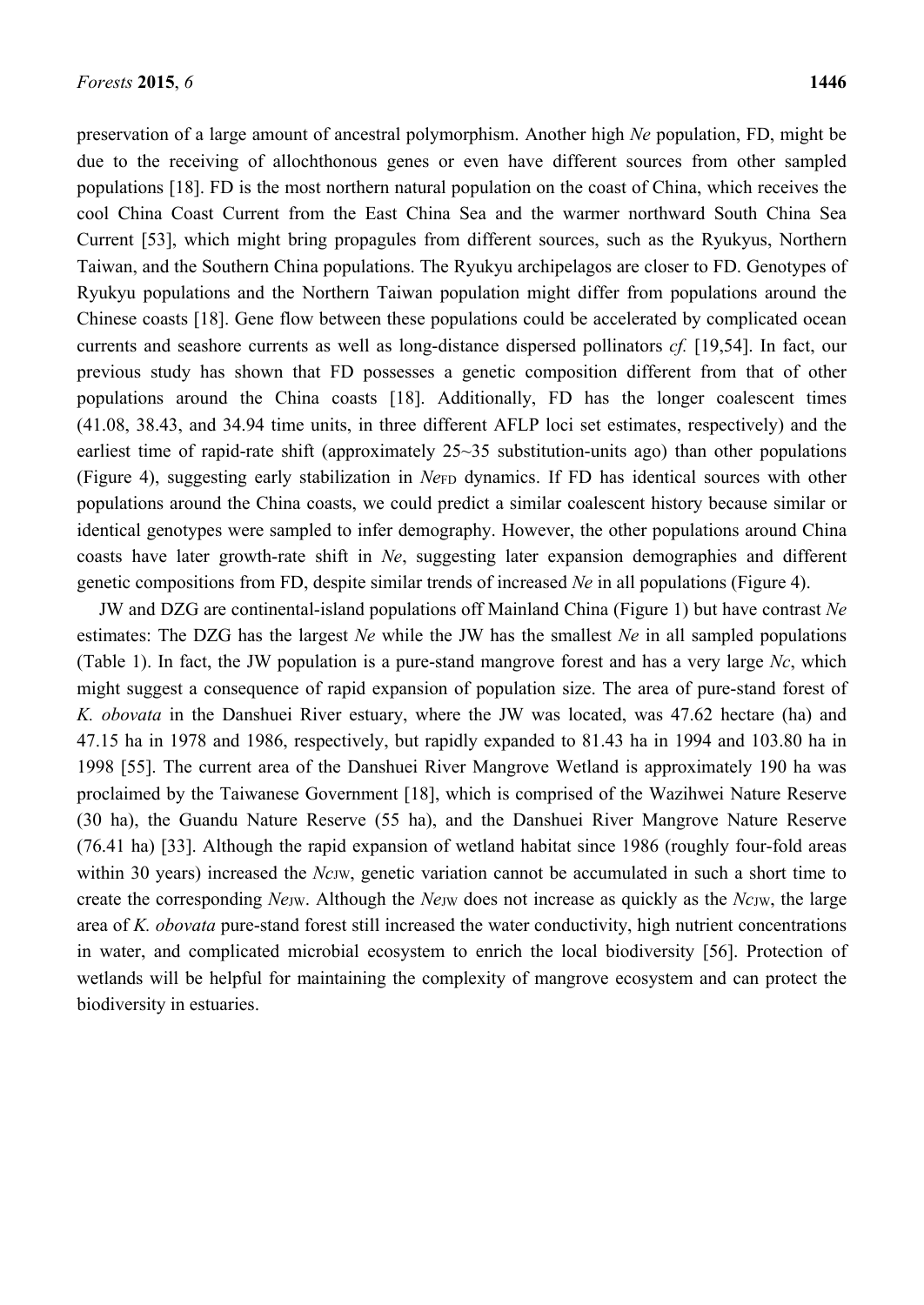preservation of a large amount of ancestral polymorphism. Another high *Ne* population, FD, might be due to the receiving of allochthonous genes or even have different sources from other sampled populations [18]. FD is the most northern natural population on the coast of China, which receives the cool China Coast Current from the East China Sea and the warmer northward South China Sea Current [53], which might bring propagules from different sources, such as the Ryukyus, Northern Taiwan, and the Southern China populations. The Ryukyu archipelagos are closer to FD. Genotypes of Ryukyu populations and the Northern Taiwan population might differ from populations around the Chinese coasts [18]. Gene flow between these populations could be accelerated by complicated ocean currents and seashore currents as well as long-distance dispersed pollinators *cf.* [19,54]. In fact, our previous study has shown that FD possesses a genetic composition different from that of other populations around the China coasts [18]. Additionally, FD has the longer coalescent times (41.08, 38.43, and 34.94 time units, in three different AFLP loci set estimates, respectively) and the earliest time of rapid-rate shift (approximately 25~35 substitution-units ago) than other populations (Figure 4), suggesting early stabilization in *Ne*FD dynamics. If FD has identical sources with other populations around the China coasts, we could predict a similar coalescent history because similar or identical genotypes were sampled to infer demography. However, the other populations around China coasts have later growth-rate shift in *Ne*, suggesting later expansion demographies and different genetic compositions from FD, despite similar trends of increased *Ne* in all populations (Figure 4).

JW and DZG are continental-island populations off Mainland China (Figure 1) but have contrast *Ne* estimates: The DZG has the largest *Ne* while the JW has the smallest *Ne* in all sampled populations (Table 1). In fact, the JW population is a pure-stand mangrove forest and has a very large *Nc*, which might suggest a consequence of rapid expansion of population size. The area of pure-stand forest of *K. obovata* in the Danshuei River estuary, where the JW was located, was 47.62 hectare (ha) and 47.15 ha in 1978 and 1986, respectively, but rapidly expanded to 81.43 ha in 1994 and 103.80 ha in 1998 [55]. The current area of the Danshuei River Mangrove Wetland is approximately 190 ha was proclaimed by the Taiwanese Government [18], which is comprised of the Wazihwei Nature Reserve (30 ha), the Guandu Nature Reserve (55 ha), and the Danshuei River Mangrove Nature Reserve (76.41 ha) [33]. Although the rapid expansion of wetland habitat since 1986 (roughly four-fold areas within 30 years) increased the *NcJW*, genetic variation cannot be accumulated in such a short time to create the corresponding *Ne*JW. Although the *Ne*JW does not increase as quickly as the *Nc*JW, the large area of *K. obovata* pure-stand forest still increased the water conductivity, high nutrient concentrations in water, and complicated microbial ecosystem to enrich the local biodiversity [56]. Protection of wetlands will be helpful for maintaining the complexity of mangrove ecosystem and can protect the biodiversity in estuaries.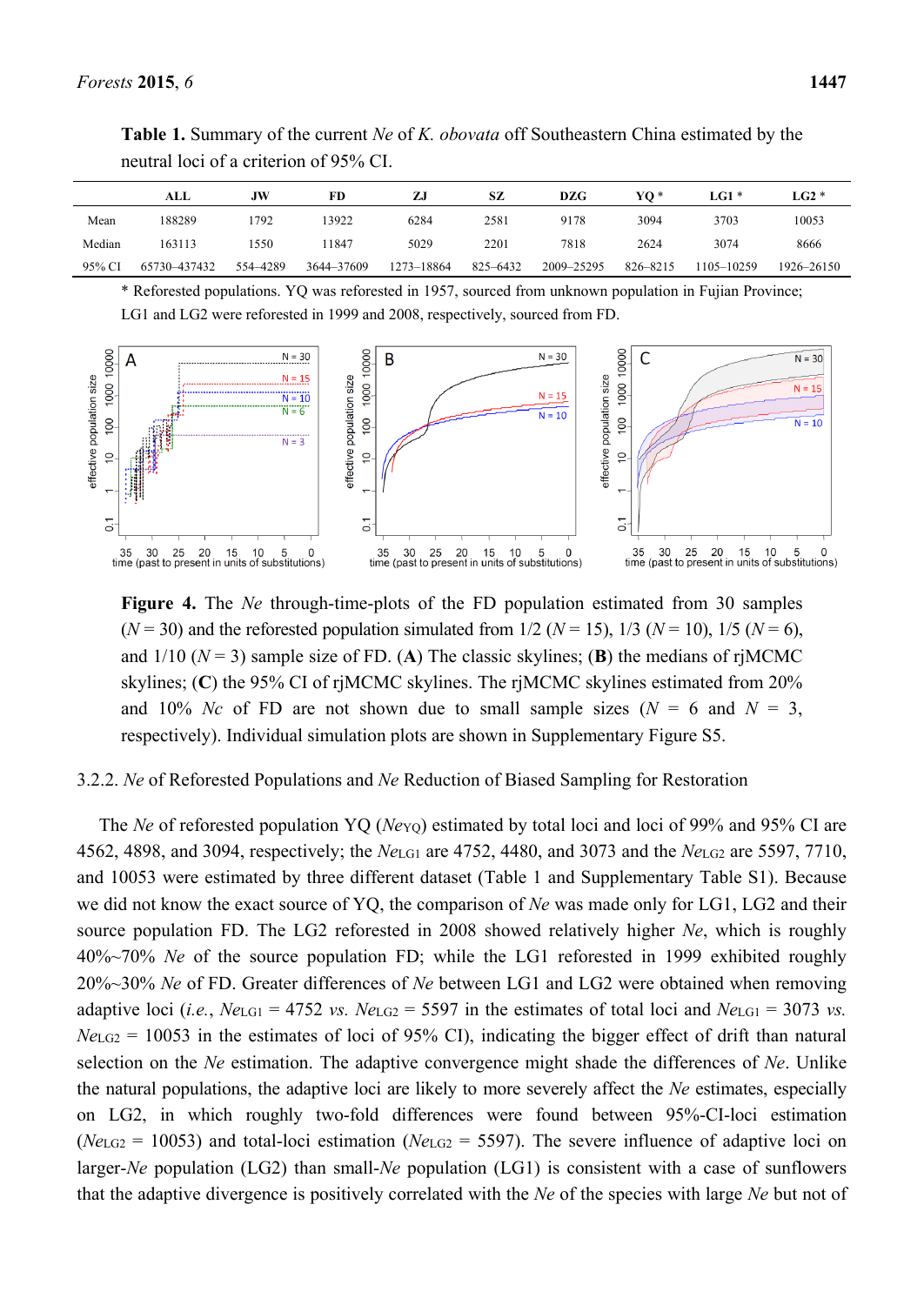**Table 1.** Summary of the current *Ne* of *K. obovata* off Southeastern China estimated by the neutral loci of a criterion of 95% CI.

|        | ALL          | JW       | FD         | ZJ         | SZ       | <b>DZG</b> | YO *     | $\mathbf{L}$ G1 * | $LG2*$     |
|--------|--------------|----------|------------|------------|----------|------------|----------|-------------------|------------|
| Mean   | 188289       | 792      | 13922      | 6284       | 2581     | 9178       | 3094     | 3703              | 10053      |
| Median | 163113       | 1550     | 1847       | 5029       | 2201     | 7818       | 2624     | 3074              | 8666       |
| 95% CI | 65730-437432 | 554-4289 | 3644-37609 | 1273-18864 | 825-6432 | 2009-25295 | 826-8215 | 1105–10259        | 1926–26150 |

\* Reforested populations. YQ was reforested in 1957, sourced from unknown population in Fujian Province; LG1 and LG2 were reforested in 1999 and 2008, respectively, sourced from FD.



**Figure 4.** The *Ne* through-time-plots of the FD population estimated from 30 samples  $(N = 30)$  and the reforested population simulated from  $1/2$   $(N = 15)$ ,  $1/3$   $(N = 10)$ ,  $1/5$   $(N = 6)$ , and  $1/10$  ( $N = 3$ ) sample size of FD. (A) The classic skylines; (B) the medians of rjMCMC skylines; (**C**) the 95% CI of rjMCMC skylines. The rjMCMC skylines estimated from 20% and 10% *Nc* of FD are not shown due to small sample sizes  $(N = 6$  and  $N = 3$ , respectively). Individual simulation plots are shown in Supplementary Figure S5.

#### 3.2.2. *Ne* of Reforested Populations and *Ne* Reduction of Biased Sampling for Restoration

The *Ne* of reforested population YO (*Ne*Y<sub>O</sub>) estimated by total loci and loci of 99% and 95% CI are 4562, 4898, and 3094, respectively; the *Ne*LG1 are 4752, 4480, and 3073 and the *Ne*LG2 are 5597, 7710, and 10053 were estimated by three different dataset (Table 1 and Supplementary Table S1). Because we did not know the exact source of YQ, the comparison of *Ne* was made only for LG1, LG2 and their source population FD. The LG2 reforested in 2008 showed relatively higher *Ne*, which is roughly 40%~70% *Ne* of the source population FD; while the LG1 reforested in 1999 exhibited roughly 20%~30% *Ne* of FD. Greater differences of *Ne* between LG1 and LG2 were obtained when removing adaptive loci (*i.e.*,  $Ne_{\text{LG1}} = 4752$  *vs.*  $Ne_{\text{LG2}} = 5597$  in the estimates of total loci and  $Ne_{\text{LG1}} = 3073$  *vs.*  $Ne_{\text{LG2}}$  = 10053 in the estimates of loci of 95% CI), indicating the bigger effect of drift than natural selection on the *Ne* estimation. The adaptive convergence might shade the differences of *Ne*. Unlike the natural populations, the adaptive loci are likely to more severely affect the *Ne* estimates, especially on LG2, in which roughly two-fold differences were found between 95%-CI-loci estimation (*Ne*LG2 = 10053) and total-loci estimation (*Ne*LG2 = 5597). The severe influence of adaptive loci on larger-*Ne* population (LG2) than small-*Ne* population (LG1) is consistent with a case of sunflowers that the adaptive divergence is positively correlated with the *Ne* of the species with large *Ne* but not of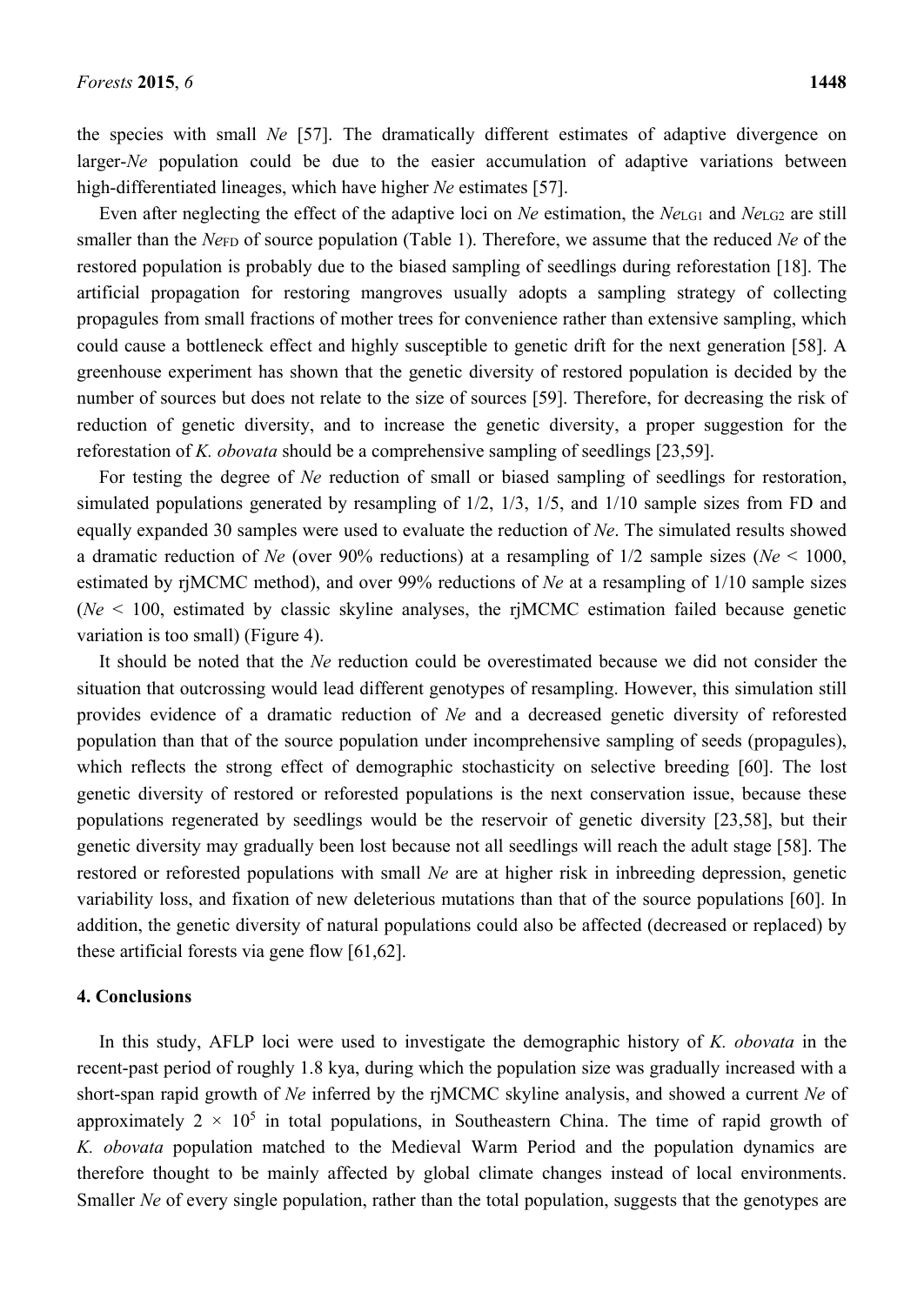the species with small *Ne* [57]. The dramatically different estimates of adaptive divergence on larger-*Ne* population could be due to the easier accumulation of adaptive variations between high-differentiated lineages, which have higher *Ne* estimates [57].

Even after neglecting the effect of the adaptive loci on *Ne* estimation, the *Ne*LG1 and *Ne*LG2 are still smaller than the *Ne*<sub>FD</sub> of source population (Table 1). Therefore, we assume that the reduced *Ne* of the restored population is probably due to the biased sampling of seedlings during reforestation [18]. The artificial propagation for restoring mangroves usually adopts a sampling strategy of collecting propagules from small fractions of mother trees for convenience rather than extensive sampling, which could cause a bottleneck effect and highly susceptible to genetic drift for the next generation [58]. A greenhouse experiment has shown that the genetic diversity of restored population is decided by the number of sources but does not relate to the size of sources [59]. Therefore, for decreasing the risk of reduction of genetic diversity, and to increase the genetic diversity, a proper suggestion for the reforestation of *K. obovata* should be a comprehensive sampling of seedlings [23,59].

For testing the degree of *Ne* reduction of small or biased sampling of seedlings for restoration, simulated populations generated by resampling of 1/2, 1/3, 1/5, and 1/10 sample sizes from FD and equally expanded 30 samples were used to evaluate the reduction of *Ne*. The simulated results showed a dramatic reduction of *Ne* (over 90% reductions) at a resampling of 1/2 sample sizes (*Ne* < 1000, estimated by rjMCMC method), and over 99% reductions of *Ne* at a resampling of 1/10 sample sizes (*Ne* < 100, estimated by classic skyline analyses, the rjMCMC estimation failed because genetic variation is too small) (Figure 4).

It should be noted that the *Ne* reduction could be overestimated because we did not consider the situation that outcrossing would lead different genotypes of resampling. However, this simulation still provides evidence of a dramatic reduction of *Ne* and a decreased genetic diversity of reforested population than that of the source population under incomprehensive sampling of seeds (propagules), which reflects the strong effect of demographic stochasticity on selective breeding [60]. The lost genetic diversity of restored or reforested populations is the next conservation issue, because these populations regenerated by seedlings would be the reservoir of genetic diversity [23,58], but their genetic diversity may gradually been lost because not all seedlings will reach the adult stage [58]. The restored or reforested populations with small *Ne* are at higher risk in inbreeding depression, genetic variability loss, and fixation of new deleterious mutations than that of the source populations [60]. In addition, the genetic diversity of natural populations could also be affected (decreased or replaced) by these artificial forests via gene flow [61,62].

## **4. Conclusions**

In this study, AFLP loci were used to investigate the demographic history of *K. obovata* in the recent-past period of roughly 1.8 kya, during which the population size was gradually increased with a short-span rapid growth of *Ne* inferred by the rjMCMC skyline analysis, and showed a current *Ne* of approximately  $2 \times 10^5$  in total populations, in Southeastern China. The time of rapid growth of *K. obovata* population matched to the Medieval Warm Period and the population dynamics are therefore thought to be mainly affected by global climate changes instead of local environments. Smaller *Ne* of every single population, rather than the total population, suggests that the genotypes are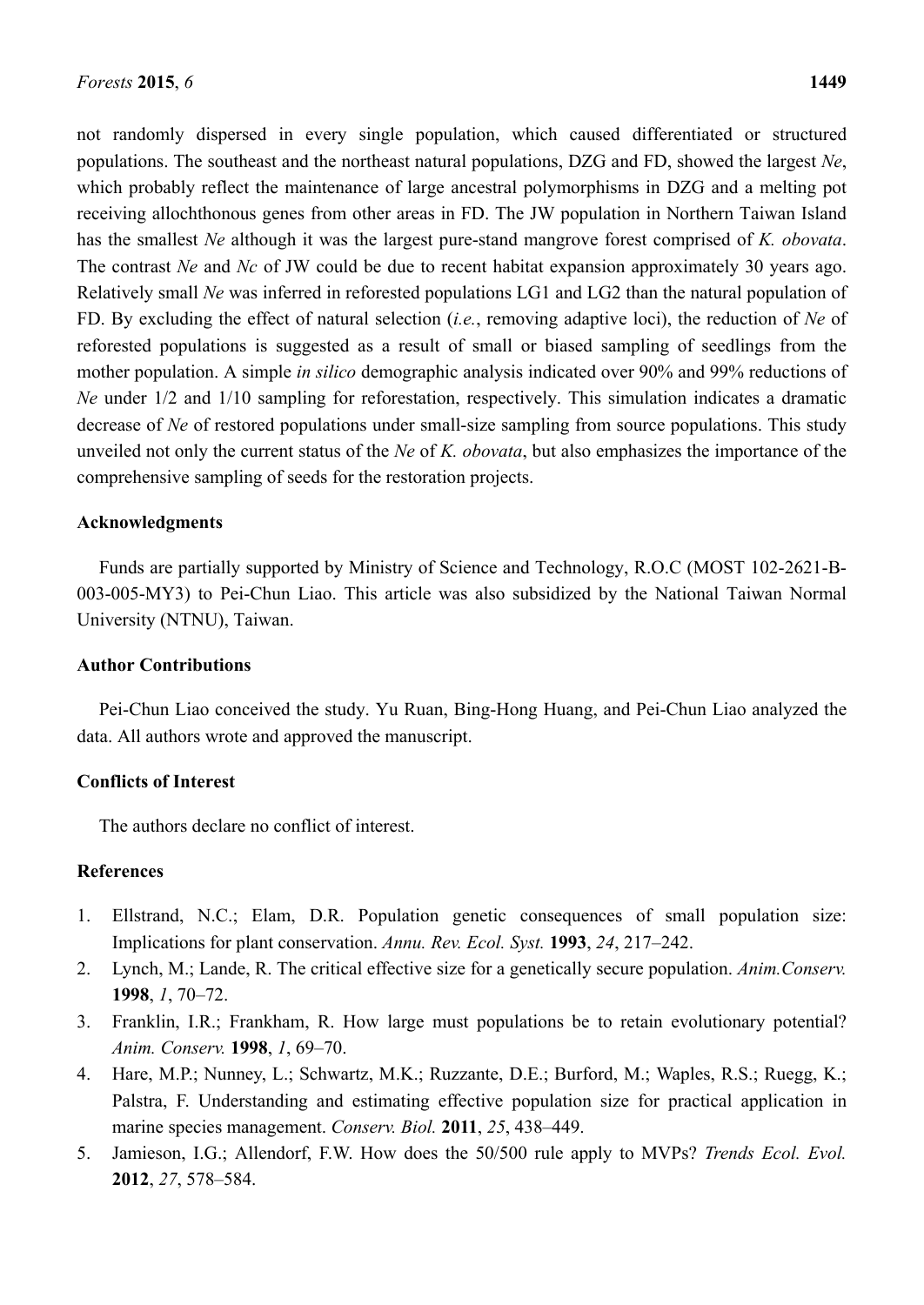not randomly dispersed in every single population, which caused differentiated or structured populations. The southeast and the northeast natural populations, DZG and FD, showed the largest *Ne*, which probably reflect the maintenance of large ancestral polymorphisms in DZG and a melting pot receiving allochthonous genes from other areas in FD. The JW population in Northern Taiwan Island has the smallest *Ne* although it was the largest pure-stand mangrove forest comprised of *K. obovata*. The contrast *Ne* and *Nc* of JW could be due to recent habitat expansion approximately 30 years ago. Relatively small *Ne* was inferred in reforested populations LG1 and LG2 than the natural population of FD. By excluding the effect of natural selection (*i.e.*, removing adaptive loci), the reduction of *Ne* of reforested populations is suggested as a result of small or biased sampling of seedlings from the mother population. A simple *in silico* demographic analysis indicated over 90% and 99% reductions of *Ne* under  $1/2$  and  $1/10$  sampling for reforestation, respectively. This simulation indicates a dramatic decrease of *Ne* of restored populations under small-size sampling from source populations. This study unveiled not only the current status of the *Ne* of *K. obovata*, but also emphasizes the importance of the comprehensive sampling of seeds for the restoration projects.

# **Acknowledgments**

Funds are partially supported by Ministry of Science and Technology, R.O.C (MOST 102-2621-B-003-005-MY3) to Pei-Chun Liao. This article was also subsidized by the National Taiwan Normal University (NTNU), Taiwan.

# **Author Contributions**

Pei-Chun Liao conceived the study. Yu Ruan, Bing-Hong Huang, and Pei-Chun Liao analyzed the data. All authors wrote and approved the manuscript.

# **Conflicts of Interest**

The authors declare no conflict of interest.

# **References**

- 1. Ellstrand, N.C.; Elam, D.R. Population genetic consequences of small population size: Implications for plant conservation. *Annu. Rev. Ecol. Syst.* **1993**, *24*, 217–242.
- 2. Lynch, M.; Lande, R. The critical effective size for a genetically secure population. *Anim.Conserv.* **1998**, *1*, 70–72.
- 3. Franklin, I.R.; Frankham, R. How large must populations be to retain evolutionary potential? *Anim. Conserv.* **1998**, *1*, 69–70.
- 4. Hare, M.P.; Nunney, L.; Schwartz, M.K.; Ruzzante, D.E.; Burford, M.; Waples, R.S.; Ruegg, K.; Palstra, F. Understanding and estimating effective population size for practical application in marine species management. *Conserv. Biol.* **2011**, *25*, 438–449.
- 5. Jamieson, I.G.; Allendorf, F.W. How does the 50/500 rule apply to MVPs? *Trends Ecol. Evol.* **2012**, *27*, 578–584.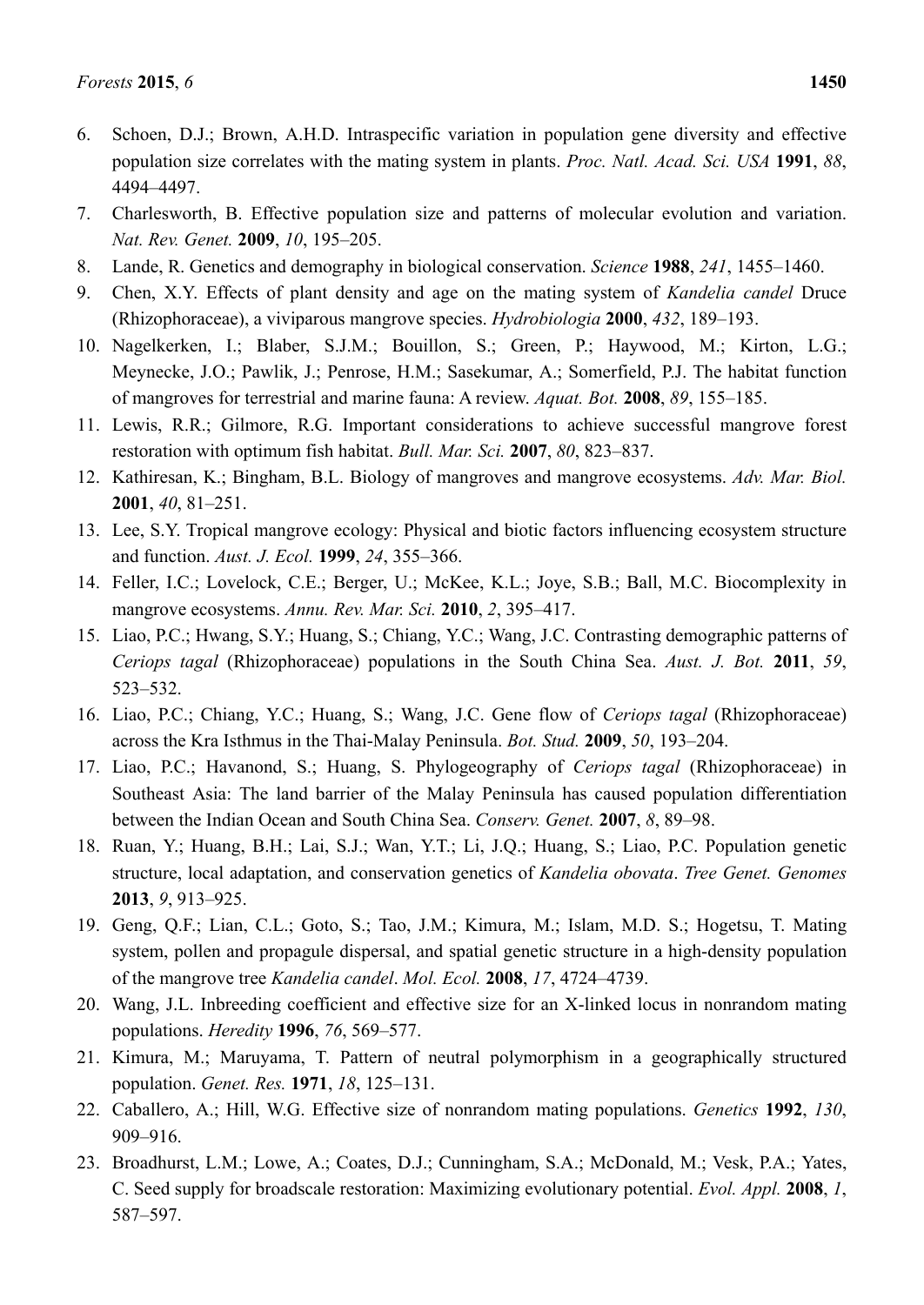- 6. Schoen, D.J.; Brown, A.H.D. Intraspecific variation in population gene diversity and effective population size correlates with the mating system in plants. *Proc. Natl. Acad. Sci. USA* **1991**, *88*, 4494–4497.
- 7. Charlesworth, B. Effective population size and patterns of molecular evolution and variation. *Nat. Rev. Genet.* **2009**, *10*, 195–205.
- 8. Lande, R. Genetics and demography in biological conservation. *Science* **1988**, *241*, 1455–1460.
- 9. Chen, X.Y. Effects of plant density and age on the mating system of *Kandelia candel* Druce (Rhizophoraceae), a viviparous mangrove species. *Hydrobiologia* **2000**, *432*, 189–193.
- 10. Nagelkerken, I.; Blaber, S.J.M.; Bouillon, S.; Green, P.; Haywood, M.; Kirton, L.G.; Meynecke, J.O.; Pawlik, J.; Penrose, H.M.; Sasekumar, A.; Somerfield, P.J. The habitat function of mangroves for terrestrial and marine fauna: A review. *Aquat. Bot.* **2008**, *89*, 155–185.
- 11. Lewis, R.R.; Gilmore, R.G. Important considerations to achieve successful mangrove forest restoration with optimum fish habitat. *Bull. Mar. Sci.* **2007**, *80*, 823–837.
- 12. Kathiresan, K.; Bingham, B.L. Biology of mangroves and mangrove ecosystems. *Adv. Mar. Biol.* **2001**, *40*, 81–251.
- 13. Lee, S.Y. Tropical mangrove ecology: Physical and biotic factors influencing ecosystem structure and function. *Aust. J. Ecol.* **1999**, *24*, 355–366.
- 14. Feller, I.C.; Lovelock, C.E.; Berger, U.; McKee, K.L.; Joye, S.B.; Ball, M.C. Biocomplexity in mangrove ecosystems. *Annu. Rev. Mar. Sci.* **2010**, *2*, 395–417.
- 15. Liao, P.C.; Hwang, S.Y.; Huang, S.; Chiang, Y.C.; Wang, J.C. Contrasting demographic patterns of *Ceriops tagal* (Rhizophoraceae) populations in the South China Sea. *Aust. J. Bot.* **2011**, *59*, 523–532.
- 16. Liao, P.C.; Chiang, Y.C.; Huang, S.; Wang, J.C. Gene flow of *Ceriops tagal* (Rhizophoraceae) across the Kra Isthmus in the Thai-Malay Peninsula. *Bot. Stud.* **2009**, *50*, 193–204.
- 17. Liao, P.C.; Havanond, S.; Huang, S. Phylogeography of *Ceriops tagal* (Rhizophoraceae) in Southeast Asia: The land barrier of the Malay Peninsula has caused population differentiation between the Indian Ocean and South China Sea. *Conserv. Genet.* **2007**, *8*, 89–98.
- 18. Ruan, Y.; Huang, B.H.; Lai, S.J.; Wan, Y.T.; Li, J.Q.; Huang, S.; Liao, P.C. Population genetic structure, local adaptation, and conservation genetics of *Kandelia obovata*. *Tree Genet. Genomes* **2013**, *9*, 913–925.
- 19. Geng, Q.F.; Lian, C.L.; Goto, S.; Tao, J.M.; Kimura, M.; Islam, M.D. S.; Hogetsu, T. Mating system, pollen and propagule dispersal, and spatial genetic structure in a high-density population of the mangrove tree *Kandelia candel*. *Mol. Ecol.* **2008**, *17*, 4724–4739.
- 20. Wang, J.L. Inbreeding coefficient and effective size for an X-linked locus in nonrandom mating populations. *Heredity* **1996**, *76*, 569–577.
- 21. Kimura, M.; Maruyama, T. Pattern of neutral polymorphism in a geographically structured population. *Genet. Res.* **1971**, *18*, 125–131.
- 22. Caballero, A.; Hill, W.G. Effective size of nonrandom mating populations. *Genetics* **1992**, *130*, 909–916.
- 23. Broadhurst, L.M.; Lowe, A.; Coates, D.J.; Cunningham, S.A.; McDonald, M.; Vesk, P.A.; Yates, C. Seed supply for broadscale restoration: Maximizing evolutionary potential. *Evol. Appl.* **2008**, *1*, 587–597.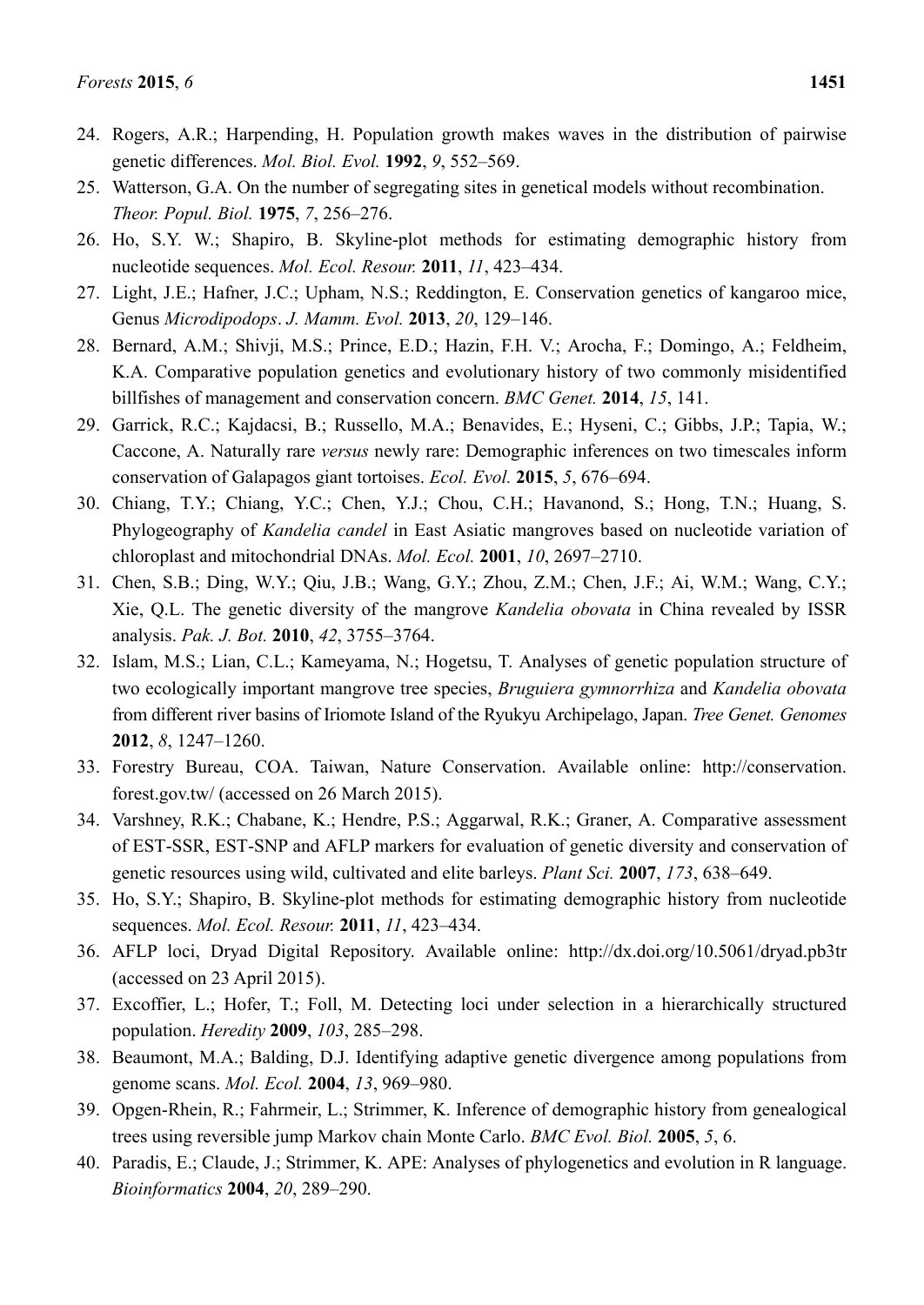- 24. Rogers, A.R.; Harpending, H. Population growth makes waves in the distribution of pairwise genetic differences. *Mol. Biol. Evol.* **1992**, *9*, 552–569.
- 25. Watterson, G.A. On the number of segregating sites in genetical models without recombination. *Theor. Popul. Biol.* **1975**, *7*, 256–276.
- 26. Ho, S.Y. W.; Shapiro, B. Skyline-plot methods for estimating demographic history from nucleotide sequences. *Mol. Ecol. Resour.* **2011**, *11*, 423–434.
- 27. Light, J.E.; Hafner, J.C.; Upham, N.S.; Reddington, E. Conservation genetics of kangaroo mice, Genus *Microdipodops*. *J. Mamm. Evol.* **2013**, *20*, 129–146.
- 28. Bernard, A.M.; Shivji, M.S.; Prince, E.D.; Hazin, F.H. V.; Arocha, F.; Domingo, A.; Feldheim, K.A. Comparative population genetics and evolutionary history of two commonly misidentified billfishes of management and conservation concern. *BMC Genet.* **2014**, *15*, 141.
- 29. Garrick, R.C.; Kajdacsi, B.; Russello, M.A.; Benavides, E.; Hyseni, C.; Gibbs, J.P.; Tapia, W.; Caccone, A. Naturally rare *versus* newly rare: Demographic inferences on two timescales inform conservation of Galapagos giant tortoises. *Ecol. Evol.* **2015**, *5*, 676–694.
- 30. Chiang, T.Y.; Chiang, Y.C.; Chen, Y.J.; Chou, C.H.; Havanond, S.; Hong, T.N.; Huang, S. Phylogeography of *Kandelia candel* in East Asiatic mangroves based on nucleotide variation of chloroplast and mitochondrial DNAs. *Mol. Ecol.* **2001**, *10*, 2697–2710.
- 31. Chen, S.B.; Ding, W.Y.; Qiu, J.B.; Wang, G.Y.; Zhou, Z.M.; Chen, J.F.; Ai, W.M.; Wang, C.Y.; Xie, Q.L. The genetic diversity of the mangrove *Kandelia obovata* in China revealed by ISSR analysis. *Pak. J. Bot.* **2010**, *42*, 3755–3764.
- 32. Islam, M.S.; Lian, C.L.; Kameyama, N.; Hogetsu, T. Analyses of genetic population structure of two ecologically important mangrove tree species, *Bruguiera gymnorrhiza* and *Kandelia obovata* from different river basins of Iriomote Island of the Ryukyu Archipelago, Japan. *Tree Genet. Genomes* **2012**, *8*, 1247–1260.
- 33. Forestry Bureau, COA. Taiwan, Nature Conservation. Available online: http://conservation. forest.gov.tw/ (accessed on 26 March 2015).
- 34. Varshney, R.K.; Chabane, K.; Hendre, P.S.; Aggarwal, R.K.; Graner, A. Comparative assessment of EST-SSR, EST-SNP and AFLP markers for evaluation of genetic diversity and conservation of genetic resources using wild, cultivated and elite barleys. *Plant Sci.* **2007**, *173*, 638–649.
- 35. Ho, S.Y.; Shapiro, B. Skyline-plot methods for estimating demographic history from nucleotide sequences. *Mol. Ecol. Resour.* **2011**, *11*, 423–434.
- 36. AFLP loci, Dryad Digital Repository. Available online: http://dx.doi.org/10.5061/dryad.pb3tr (accessed on 23 April 2015).
- 37. Excoffier, L.; Hofer, T.; Foll, M. Detecting loci under selection in a hierarchically structured population. *Heredity* **2009**, *103*, 285–298.
- 38. Beaumont, M.A.; Balding, D.J. Identifying adaptive genetic divergence among populations from genome scans. *Mol. Ecol.* **2004**, *13*, 969–980.
- 39. Opgen-Rhein, R.; Fahrmeir, L.; Strimmer, K. Inference of demographic history from genealogical trees using reversible jump Markov chain Monte Carlo. *BMC Evol. Biol.* **2005**, *5*, 6.
- 40. Paradis, E.; Claude, J.; Strimmer, K. APE: Analyses of phylogenetics and evolution in R language. *Bioinformatics* **2004**, *20*, 289–290.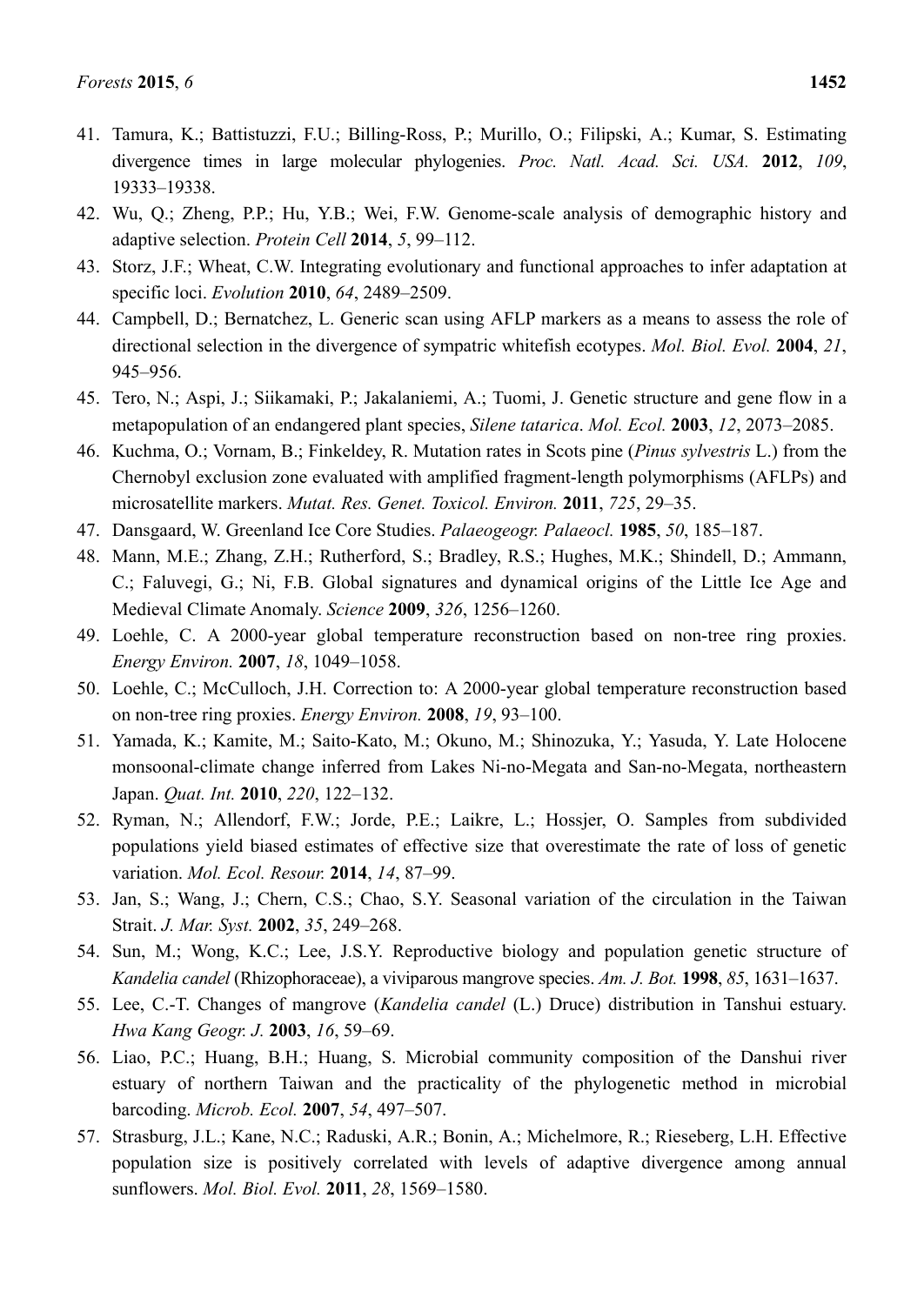- 41. Tamura, K.; Battistuzzi, F.U.; Billing-Ross, P.; Murillo, O.; Filipski, A.; Kumar, S. Estimating divergence times in large molecular phylogenies. *Proc. Natl. Acad. Sci. USA.* **2012**, *109*, 19333–19338.
- 42. Wu, Q.; Zheng, P.P.; Hu, Y.B.; Wei, F.W. Genome-scale analysis of demographic history and adaptive selection. *Protein Cell* **2014**, *5*, 99–112.
- 43. Storz, J.F.; Wheat, C.W. Integrating evolutionary and functional approaches to infer adaptation at specific loci. *Evolution* **2010**, *64*, 2489–2509.
- 44. Campbell, D.; Bernatchez, L. Generic scan using AFLP markers as a means to assess the role of directional selection in the divergence of sympatric whitefish ecotypes. *Mol. Biol. Evol.* **2004**, *21*, 945–956.
- 45. Tero, N.; Aspi, J.; Siikamaki, P.; Jakalaniemi, A.; Tuomi, J. Genetic structure and gene flow in a metapopulation of an endangered plant species, *Silene tatarica*. *Mol. Ecol.* **2003**, *12*, 2073–2085.
- 46. Kuchma, O.; Vornam, B.; Finkeldey, R. Mutation rates in Scots pine (*Pinus sylvestris* L.) from the Chernobyl exclusion zone evaluated with amplified fragment-length polymorphisms (AFLPs) and microsatellite markers. *Mutat. Res. Genet. Toxicol. Environ.* **2011**, *725*, 29–35.
- 47. Dansgaard, W. Greenland Ice Core Studies. *Palaeogeogr. Palaeocl.* **1985**, *50*, 185–187.
- 48. Mann, M.E.; Zhang, Z.H.; Rutherford, S.; Bradley, R.S.; Hughes, M.K.; Shindell, D.; Ammann, C.; Faluvegi, G.; Ni, F.B. Global signatures and dynamical origins of the Little Ice Age and Medieval Climate Anomaly. *Science* **2009**, *326*, 1256–1260.
- 49. Loehle, C. A 2000-year global temperature reconstruction based on non-tree ring proxies. *Energy Environ.* **2007**, *18*, 1049–1058.
- 50. Loehle, C.; McCulloch, J.H. Correction to: A 2000-year global temperature reconstruction based on non-tree ring proxies. *Energy Environ.* **2008**, *19*, 93–100.
- 51. Yamada, K.; Kamite, M.; Saito-Kato, M.; Okuno, M.; Shinozuka, Y.; Yasuda, Y. Late Holocene monsoonal-climate change inferred from Lakes Ni-no-Megata and San-no-Megata, northeastern Japan. *Quat. Int.* **2010**, *220*, 122–132.
- 52. Ryman, N.; Allendorf, F.W.; Jorde, P.E.; Laikre, L.; Hossjer, O. Samples from subdivided populations yield biased estimates of effective size that overestimate the rate of loss of genetic variation. *Mol. Ecol. Resour.* **2014**, *14*, 87–99.
- 53. Jan, S.; Wang, J.; Chern, C.S.; Chao, S.Y. Seasonal variation of the circulation in the Taiwan Strait. *J. Mar. Syst.* **2002**, *35*, 249–268.
- 54. Sun, M.; Wong, K.C.; Lee, J.S.Y. Reproductive biology and population genetic structure of *Kandelia candel* (Rhizophoraceae), a viviparous mangrove species. *Am. J. Bot.* **1998**, *85*, 1631–1637.
- 55. Lee, C.-T. Changes of mangrove (*Kandelia candel* (L.) Druce) distribution in Tanshui estuary. *Hwa Kang Geogr. J.* **2003**, *16*, 59–69.
- 56. Liao, P.C.; Huang, B.H.; Huang, S. Microbial community composition of the Danshui river estuary of northern Taiwan and the practicality of the phylogenetic method in microbial barcoding. *Microb. Ecol.* **2007**, *54*, 497–507.
- 57. Strasburg, J.L.; Kane, N.C.; Raduski, A.R.; Bonin, A.; Michelmore, R.; Rieseberg, L.H. Effective population size is positively correlated with levels of adaptive divergence among annual sunflowers. *Mol. Biol. Evol.* **2011**, *28*, 1569–1580.